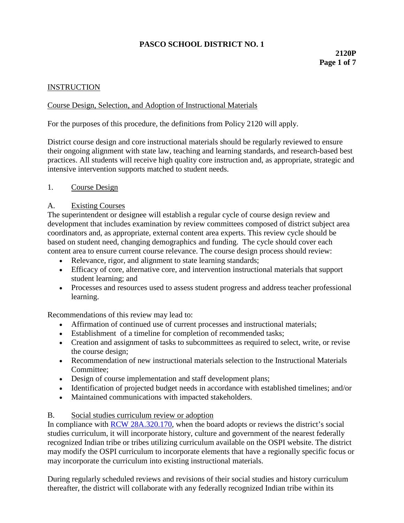# **PASCO SCHOOL DISTRICT NO. 1**

# **2120P Page 1 of 7**

## **INSTRUCTION**

### Course Design, Selection, and Adoption of Instructional Materials

For the purposes of this procedure, the definitions from Policy 2120 will apply.

District course design and core instructional materials should be regularly reviewed to ensure their ongoing alignment with state law, teaching and learning standards, and research-based best practices. All students will receive high quality core instruction and, as appropriate, strategic and intensive intervention supports matched to student needs.

#### 1. Course Design

#### A. Existing Courses

The superintendent or designee will establish a regular cycle of course design review and development that includes examination by review committees composed of district subject area coordinators and, as appropriate, external content area experts. This review cycle should be based on student need, changing demographics and funding. The cycle should cover each content area to ensure current course relevance. The course design process should review:

- Relevance, rigor, and alignment to state learning standards;
- Efficacy of core, alternative core, and intervention instructional materials that support student learning; and
- Processes and resources used to assess student progress and address teacher professional learning.

Recommendations of this review may lead to:

- Affirmation of continued use of current processes and instructional materials;
- Establishment of a timeline for completion of recommended tasks;
- Creation and assignment of tasks to subcommittees as required to select, write, or revise the course design;
- Recommendation of new instructional materials selection to the Instructional Materials Committee;
- Design of course implementation and staff development plans;
- Identification of projected budget needs in accordance with established timelines; and/or
- Maintained communications with impacted stakeholders.

#### B. Social studies curriculum review or adoption

In compliance with **RCW 28A.320.170**, when the board adopts or reviews the district's social studies curriculum, it will incorporate history, culture and government of the nearest federally recognized Indian tribe or tribes utilizing curriculum available on the OSPI website. The district may modify the OSPI curriculum to incorporate elements that have a regionally specific focus or may incorporate the curriculum into existing instructional materials.

During regularly scheduled reviews and revisions of their social studies and history curriculum thereafter, the district will collaborate with any federally recognized Indian tribe within its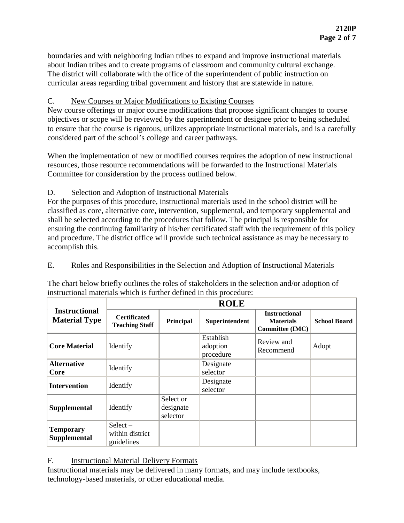boundaries and with neighboring Indian tribes to expand and improve instructional materials about Indian tribes and to create programs of classroom and community cultural exchange. The district will collaborate with the office of the superintendent of public instruction on curricular areas regarding tribal government and history that are statewide in nature.

## C. New Courses or Major Modifications to Existing Courses

New course offerings or major course modifications that propose significant changes to course objectives or scope will be reviewed by the superintendent or designee prior to being scheduled to ensure that the course is rigorous, utilizes appropriate instructional materials, and is a carefully considered part of the school's college and career pathways.

When the implementation of new or modified courses requires the adoption of new instructional resources, those resource recommendations will be forwarded to the Instructional Materials Committee for consideration by the process outlined below.

## D. Selection and Adoption of Instructional Materials

For the purposes of this procedure, instructional materials used in the school district will be classified as core, alternative core, intervention, supplemental, and temporary supplemental and shall be selected according to the procedures that follow. The principal is responsible for ensuring the continuing familiarity of his/her certificated staff with the requirement of this policy and procedure. The district office will provide such technical assistance as may be necessary to accomplish this.

## E. Roles and Responsibilities in the Selection and Adoption of Instructional Materials

The chart below briefly outlines the roles of stakeholders in the selection and/or adoption of instructional materials which is further defined in this procedure:

| <b>Instructional</b><br><b>Material Type</b> | <b>ROLE</b>                                  |                                    |                                    |                                                             |                     |
|----------------------------------------------|----------------------------------------------|------------------------------------|------------------------------------|-------------------------------------------------------------|---------------------|
|                                              | <b>Certificated</b><br><b>Teaching Staff</b> | Principal                          | Superintendent                     | <b>Instructional</b><br><b>Materials</b><br>Committee (IMC) | <b>School Board</b> |
| <b>Core Material</b>                         | Identify                                     |                                    | Establish<br>adoption<br>procedure | Review and<br>Recommend                                     | Adopt               |
| <b>Alternative</b><br>Core                   | Identify                                     |                                    | Designate<br>selector              |                                                             |                     |
| <b>Intervention</b>                          | Identify                                     |                                    | Designate<br>selector              |                                                             |                     |
| <b>Supplemental</b>                          | Identify                                     | Select or<br>designate<br>selector |                                    |                                                             |                     |
| <b>Temporary</b><br>Supplemental             | $Select -$<br>within district<br>guidelines  |                                    |                                    |                                                             |                     |

# F. **Instructional Material Delivery Formats**

Instructional materials may be delivered in many formats, and may include textbooks, technology-based materials, or other educational media.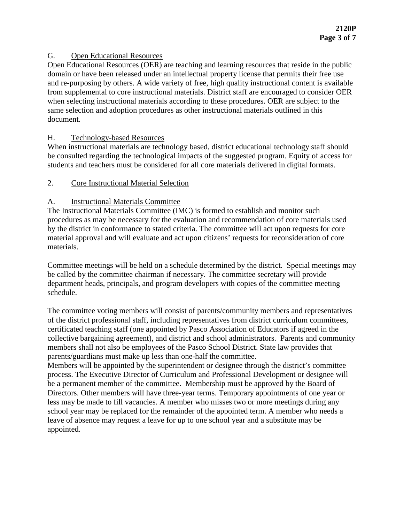## G. Open Educational Resources

Open Educational Resources (OER) are teaching and learning resources that reside in the public domain or have been released under an intellectual property license that permits their free use and re-purposing by others. A wide variety of free, high quality instructional content is available from supplemental to core instructional materials. District staff are encouraged to consider OER when selecting instructional materials according to these procedures. OER are subject to the same selection and adoption procedures as other instructional materials outlined in this document.

# H. Technology-based Resources

When instructional materials are technology based, district educational technology staff should be consulted regarding the technological impacts of the suggested program. Equity of access for students and teachers must be considered for all core materials delivered in digital formats.

# 2. Core Instructional Material Selection

# A. Instructional Materials Committee

The Instructional Materials Committee (IMC) is formed to establish and monitor such procedures as may be necessary for the evaluation and recommendation of core materials used by the district in conformance to stated criteria. The committee will act upon requests for core material approval and will evaluate and act upon citizens' requests for reconsideration of core materials.

Committee meetings will be held on a schedule determined by the district. Special meetings may be called by the committee chairman if necessary. The committee secretary will provide department heads, principals, and program developers with copies of the committee meeting schedule.

The committee voting members will consist of parents/community members and representatives of the district professional staff, including representatives from district curriculum committees, certificated teaching staff (one appointed by Pasco Association of Educators if agreed in the collective bargaining agreement), and district and school administrators. Parents and community members shall not also be employees of the Pasco School District. State law provides that parents/guardians must make up less than one-half the committee.

Members will be appointed by the superintendent or designee through the district's committee process. The Executive Director of Curriculum and Professional Development or designee will be a permanent member of the committee. Membership must be approved by the Board of Directors. Other members will have three-year terms. Temporary appointments of one year or less may be made to fill vacancies. A member who misses two or more meetings during any school year may be replaced for the remainder of the appointed term. A member who needs a leave of absence may request a leave for up to one school year and a substitute may be appointed.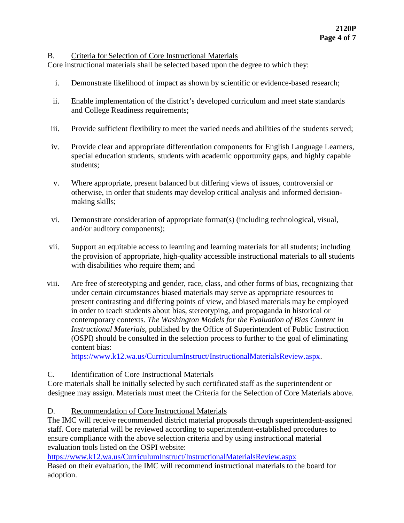#### B. Criteria for Selection of Core Instructional Materials

Core instructional materials shall be selected based upon the degree to which they:

- i. Demonstrate likelihood of impact as shown by scientific or evidence-based research;
- ii. Enable implementation of the district's developed curriculum and meet state standards and College Readiness requirements;
- iii. Provide sufficient flexibility to meet the varied needs and abilities of the students served;
- iv. Provide clear and appropriate differentiation components for English Language Learners, special education students, students with academic opportunity gaps, and highly capable students;
- v. Where appropriate, present balanced but differing views of issues, controversial or otherwise, in order that students may develop critical analysis and informed decisionmaking skills;
- vi. Demonstrate consideration of appropriate format(s) (including technological, visual, and/or auditory components);
- vii. Support an equitable access to learning and learning materials for all students; including the provision of appropriate, high-quality accessible instructional materials to all students with disabilities who require them; and
- viii. Are free of stereotyping and gender, race, class, and other forms of bias, recognizing that under certain circumstances biased materials may serve as appropriate resources to present contrasting and differing points of view, and biased materials may be employed in order to teach students about bias, stereotyping, and propaganda in historical or contemporary contexts. *The Washington Models for the Evaluation of Bias Content in Instructional Materials*, published by the Office of Superintendent of Public Instruction (OSPI) should be consulted in the selection process to further to the goal of eliminating content bias:

[https://www.k12.wa.us/CurriculumInstruct/InstructionalMaterialsReview.aspx.](http://www.k12.wa.us/curriculuminstruct/InstructionalMaterialsReview.aspx)

### C. Identification of Core Instructional Materials

Core materials shall be initially selected by such certificated staff as the superintendent or designee may assign. Materials must meet the Criteria for the Selection of Core Materials above.

### D. Recommendation of Core Instructional Materials

The IMC will receive recommended district material proposals through superintendent-assigned staff. Core material will be reviewed according to superintendent-established procedures to ensure compliance with the above selection criteria and by using instructional material evaluation tools listed on the OSPI website:

[https://www.k12.wa.us/CurriculumInstruct/InstructionalMaterialsReview.aspx](http://www.k12.wa.us/curriculuminstruct/InstructionalMaterialsReview.aspx) Based on their evaluation, the IMC will recommend instructional materials to the board for adoption.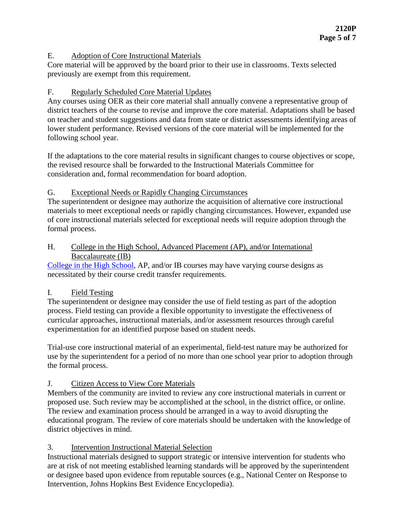### E. Adoption of Core Instructional Materials

Core material will be approved by the board prior to their use in classrooms. Texts selected previously are exempt from this requirement.

## F. Regularly Scheduled Core Material Updates

Any courses using OER as their core material shall annually convene a representative group of district teachers of the course to revise and improve the core material. Adaptations shall be based on teacher and student suggestions and data from state or district assessments identifying areas of lower student performance. Revised versions of the core material will be implemented for the following school year.

If the adaptations to the core material results in significant changes to course objectives or scope, the revised resource shall be forwarded to the Instructional Materials Committee for consideration and, formal recommendation for board adoption.

## G. Exceptional Needs or Rapidly Changing Circumstances

The superintendent or designee may authorize the acquisition of alternative core instructional materials to meet exceptional needs or rapidly changing circumstances. However, expanded use of core instructional materials selected for exceptional needs will require adoption through the formal process.

## H. College in the High School, Advanced Placement (AP), and/or International Baccalaureate (IB)

[College in the High School,](http://www.sbctc.edu/college/_e-collegeinhighschool.aspx) AP, and/or IB courses may have varying course designs as necessitated by their course credit transfer requirements.

# I. Field Testing

The superintendent or designee may consider the use of field testing as part of the adoption process. Field testing can provide a flexible opportunity to investigate the effectiveness of curricular approaches, instructional materials, and/or assessment resources through careful experimentation for an identified purpose based on student needs.

Trial-use core instructional material of an experimental, field-test nature may be authorized for use by the superintendent for a period of no more than one school year prior to adoption through the formal process.

# J. Citizen Access to View Core Materials

Members of the community are invited to review any core instructional materials in current or proposed use. Such review may be accomplished at the school, in the district office, or online. The review and examination process should be arranged in a way to avoid disrupting the educational program. The review of core materials should be undertaken with the knowledge of district objectives in mind.

# 3. Intervention Instructional Material Selection

Instructional materials designed to support strategic or intensive intervention for students who are at risk of not meeting established learning standards will be approved by the superintendent or designee based upon evidence from reputable sources (e.g., National Center on Response to Intervention, Johns Hopkins Best Evidence Encyclopedia).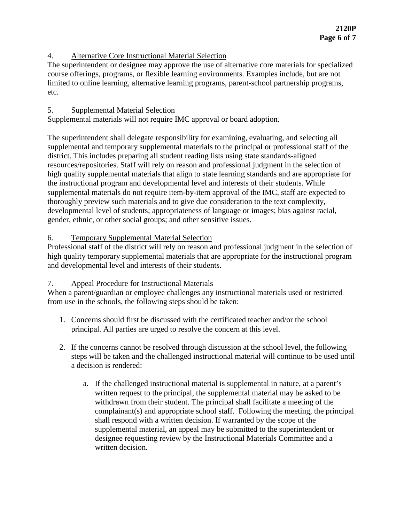## 4. Alternative Core Instructional Material Selection

The superintendent or designee may approve the use of alternative core materials for specialized course offerings, programs, or flexible learning environments. Examples include, but are not limited to online learning, alternative learning programs, parent-school partnership programs, etc.

## 5. Supplemental Material Selection

Supplemental materials will not require IMC approval or board adoption.

The superintendent shall delegate responsibility for examining, evaluating, and selecting all supplemental and temporary supplemental materials to the principal or professional staff of the district. This includes preparing all student reading lists using state standards-aligned resources/repositories. Staff will rely on reason and professional judgment in the selection of high quality supplemental materials that align to state learning standards and are appropriate for the instructional program and developmental level and interests of their students. While supplemental materials do not require item-by-item approval of the IMC, staff are expected to thoroughly preview such materials and to give due consideration to the text complexity, developmental level of students; appropriateness of language or images; bias against racial, gender, ethnic, or other social groups; and other sensitive issues.

# 6. Temporary Supplemental Material Selection

Professional staff of the district will rely on reason and professional judgment in the selection of high quality temporary supplemental materials that are appropriate for the instructional program and developmental level and interests of their students.

### 7. Appeal Procedure for Instructional Materials

When a parent/guardian or employee challenges any instructional materials used or restricted from use in the schools, the following steps should be taken:

- 1. Concerns should first be discussed with the certificated teacher and/or the school principal. All parties are urged to resolve the concern at this level.
- 2. If the concerns cannot be resolved through discussion at the school level, the following steps will be taken and the challenged instructional material will continue to be used until a decision is rendered:
	- a. If the challenged instructional material is supplemental in nature, at a parent's written request to the principal, the supplemental material may be asked to be withdrawn from their student. The principal shall facilitate a meeting of the complainant(s) and appropriate school staff. Following the meeting, the principal shall respond with a written decision. If warranted by the scope of the supplemental material, an appeal may be submitted to the superintendent or designee requesting review by the Instructional Materials Committee and a written decision.